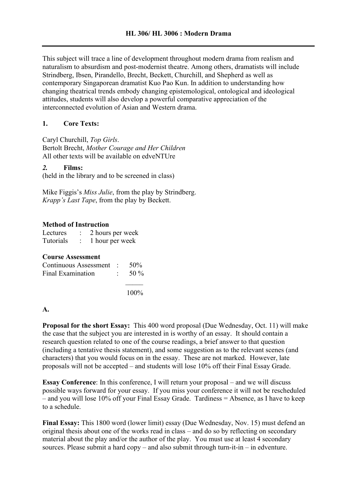This subject will trace a line of development throughout modern drama from realism and naturalism to absurdism and post-modernist theatre. Among others, dramatists will include Strindberg, Ibsen, Pirandello, Brecht, Beckett, Churchill, and Shepherd as well as contemporary Singaporean dramatist Kuo Pao Kun. In addition to understanding how changing theatrical trends embody changing epistemological, ontological and ideological attitudes, students will also develop a powerful comparative appreciation of the interconnected evolution of Asian and Western drama.

## **1. Core Texts:**

Caryl Churchill, *Top Girls*. Bertolt Brecht, *Mother Courage and Her Children* All other texts will be available on edveNTUre

### *2.* **Films:**

(held in the library and to be screened in class)

Mike Figgis's *Miss Julie*, from the play by Strindberg. *Krapp's Last Tape*, from the play by Beckett.

### **Method of Instruction**

| Lectures  | 2 hours per week |
|-----------|------------------|
| Tutorials | 1 hour per week  |

| <b>Course Assessment</b> |  |  |
|--------------------------|--|--|
| Continuous Assessment    |  |  |

| Continuous Assessment : 50% |                   |
|-----------------------------|-------------------|
| Final Examination           | $\therefore$ 50 % |
|                             |                   |

100%

### **A.**

**Proposal for the short Essay:** This 400 word proposal (Due Wednesday, Oct. 11) will make the case that the subject you are interested in is worthy of an essay. It should contain a research question related to one of the course readings, a brief answer to that question (including a tentative thesis statement), and some suggestion as to the relevant scenes (and characters) that you would focus on in the essay. These are not marked. However, late proposals will not be accepted – and students will lose 10% off their Final Essay Grade.

**Essay Conference**: In this conference, I will return your proposal – and we will discuss possible ways forward for your essay. If you miss your conference it will not be rescheduled – and you will lose 10% off your Final Essay Grade. Tardiness = Absence, as I have to keep to a schedule.

**Final Essay:** This 1800 word (lower limit) essay (Due Wednesday, Nov. 15) must defend an original thesis about one of the works read in class – and do so by reflecting on secondary material about the play and/or the author of the play. You must use at least 4 secondary sources. Please submit a hard  $copy -$  and also submit through turn-it-in – in edventure.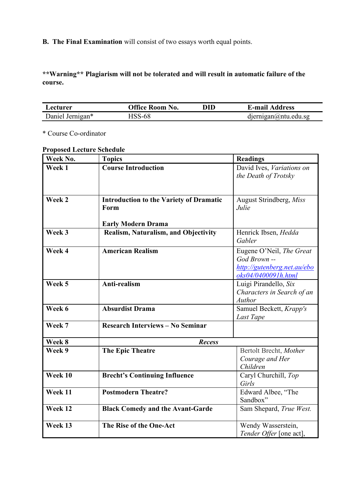**B. The Final Examination** will consist of two essays worth equal points.

**\*\*Warning\*\* Plagiarism will not be tolerated and will result in automatic failure of the course.**

| Lecturer         | <b>Office Room No.</b> | DID | <b>E-mail Address</b>       |
|------------------|------------------------|-----|-----------------------------|
| Daniel Jernigan* | HSS-68                 |     | $d$ jernigan $@$ ntu.edu.sg |

\* Course Co-ordinator

# **Proposed Lecture Schedule**

| Week No. | <b>Topics</b>                                          | <b>Readings</b>                                                                                |
|----------|--------------------------------------------------------|------------------------------------------------------------------------------------------------|
| Week 1   | <b>Course Introduction</b>                             | David Ives, Variations on<br>the Death of Trotsky                                              |
| Week 2   | <b>Introduction to the Variety of Dramatic</b><br>Form | August Strindberg, Miss<br>Julie                                                               |
|          | <b>Early Modern Drama</b>                              |                                                                                                |
| Week 3   | Realism, Naturalism, and Objectivity                   | Henrick Ibsen, Hedda<br>Gabler                                                                 |
| Week 4   | <b>American Realism</b>                                | Eugene O'Neil, The Great<br>God Brown --<br>http://gutenberg.net.au/ebo<br>oks04/0400091h.html |
| Week 5   | Anti-realism                                           | Luigi Pirandello, Six<br>Characters in Search of an<br>Author                                  |
| Week 6   | <b>Absurdist Drama</b>                                 | Samuel Beckett, Krapp's<br>Last Tape                                                           |
| Week 7   | <b>Research Interviews - No Seminar</b>                |                                                                                                |
| Week 8   | <b>Recess</b>                                          |                                                                                                |
| Week 9   | <b>The Epic Theatre</b>                                | Bertolt Brecht, Mother<br>Courage and Her<br>Children                                          |
| Week 10  | <b>Brecht's Continuing Influence</b>                   | Caryl Churchill, Top<br>Girls                                                                  |
| Week 11  | <b>Postmodern Theatre?</b>                             | Edward Albee, "The<br>Sandbox"                                                                 |
| Week 12  | <b>Black Comedy and the Avant-Garde</b>                | Sam Shepard, True West.                                                                        |
| Week 13  | The Rise of the One-Act                                | Wendy Wasserstein,<br>Tender Offer [one act],                                                  |